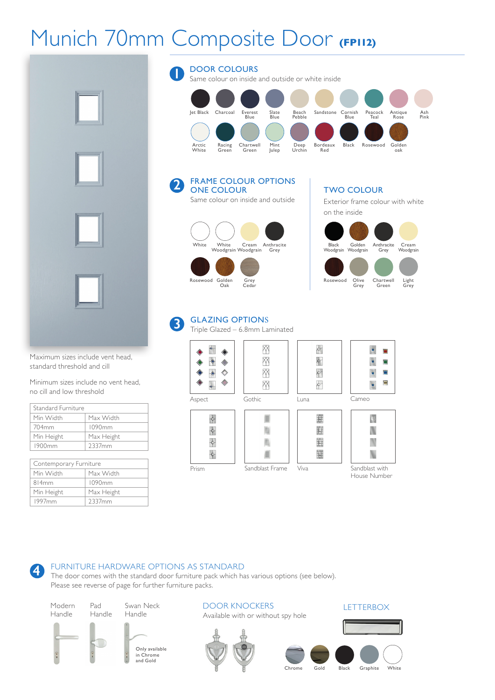# Munich 70mm Composite Door **(FP112)**

**1**

**2**



Maximum sizes include vent head, standard threshold and cill

Minimum sizes include no vent head, no cill and low threshold

| Standard Furniture |            |  |
|--------------------|------------|--|
| Min Width          | Max Width  |  |
| 704 <sub>mm</sub>  | 1090mm     |  |
| Min Height         | Max Height |  |
| 1900mm             | 2337mm     |  |

| Contemporary Furniture |            |  |
|------------------------|------------|--|
| Min Width              | Max Width  |  |
| 814mm                  | 1090mm     |  |
| Min Height             | Max Height |  |
| 1997 <sub>mm</sub>     | 2337mm     |  |

### DOOR COLOURS Same colour on inside and outside or white inside Jet Black Charcoal Everest Slate Beach Sandstone Cornish Peacock Antique Ash Blue Blue Pebble Blue Teal Rose Pink Arctic Racing Chartwell Mint Deep Bordeaux Black Rosewood Golden Bordeaux<br>Red

FRAME COLOUR OPTIONS ONE COLOUR Same colour on inside and outside



TWO COLOUR

Exterior frame colour with white on the inside



#### GLAZING OPTIONS **3**

Triple Glazed – 6.8mm Laminated



#### FURNITURE HARDWARE OPTIONS AS STANDARD **4**

The door comes with the standard door furniture pack which has various options (see below). Please see reverse of page for further furniture packs.